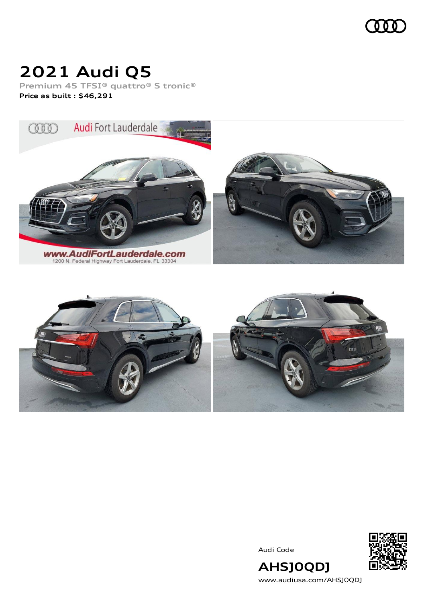### 000

### **2021 Audi Q5**

**Premium 45 TFSI® quattro® S tronic® Price as built [:](#page-10-0) \$46,291**





Audi Code



**AHSJ0QDJ** [www.audiusa.com/AHSJ0QDJ](https://www.audiusa.com/AHSJ0QDJ)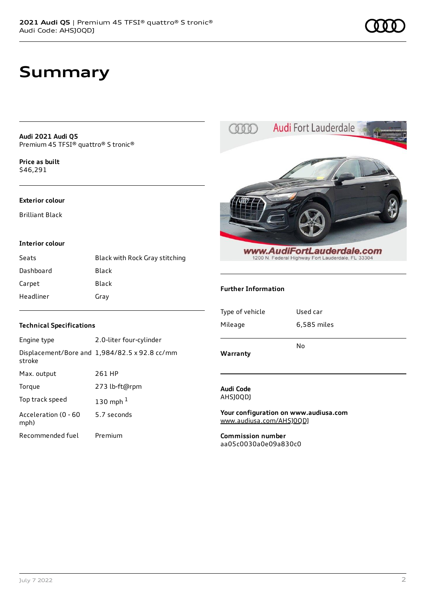### **Summary**

**Audi 2021 Audi Q5** Premium 45 TFSI® quattro® S tronic®

**Price as buil[t](#page-10-0)** \$46,291

#### **Exterior colour**

Brilliant Black

#### **Interior colour**

| Seats     | Black with Rock Gray stitching |
|-----------|--------------------------------|
| Dashboard | Black                          |
| Carpet    | Black                          |
| Headliner | Gray                           |

#### **Technical Specifications**

| Engine type                  | 2.0-liter four-cylinder                              |
|------------------------------|------------------------------------------------------|
| stroke                       | Displacement/Bore and $1,984/82.5 \times 92.8$ cc/mm |
| Max. output                  | 261 HP                                               |
| Torque                       | 273 lb-ft@rpm                                        |
| Top track speed              | 130 mph $1$                                          |
| Acceleration (0 - 60<br>mph) | 5.7 seconds                                          |
| Recommended fuel             | Premium                                              |



Audi Fort Lauderdale

 $000$ 

**Your configuration on www.audiusa.com** [www.audiusa.com/AHSJ0QDJ](https://www.audiusa.com/AHSJ0QDJ)

**Commission number** aa05c0030a0e09a830c0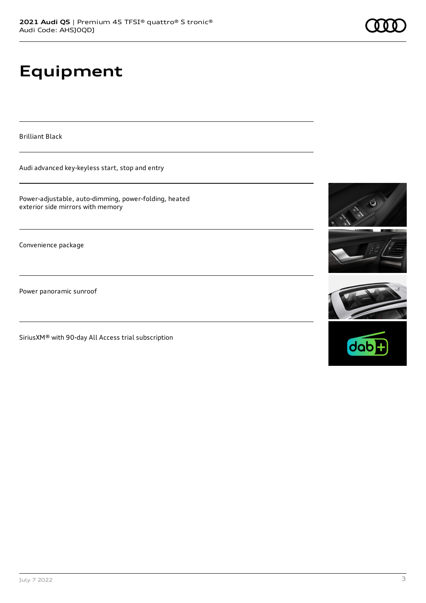# **Equipment**

Brilliant Black

Audi advanced key-keyless start, stop and entry

Power-adjustable, auto-dimming, power-folding, heated exterior side mirrors with memory

Convenience package

Power panoramic sunroof

SiriusXM® with 90-day All Access trial subscription





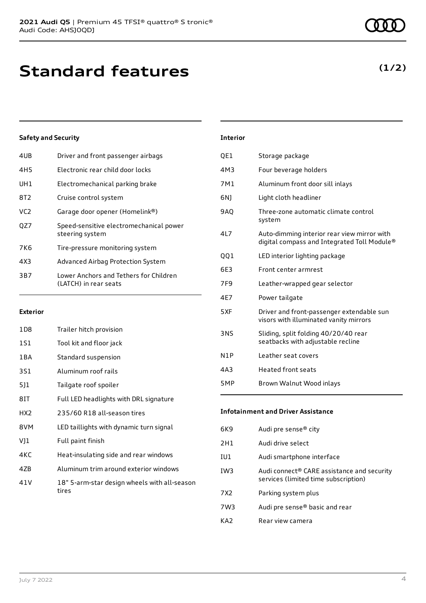| 4UB             | Driver and front passenger airbags                              |
|-----------------|-----------------------------------------------------------------|
| 4H <sub>5</sub> | Electronic rear child door locks                                |
| UH1             | Electromechanical parking brake                                 |
| 8T2.            | Cruise control system                                           |
| VC <sub>2</sub> | Garage door opener (Homelink®)                                  |
| OZ7             | Speed-sensitive electromechanical power<br>steering system      |
| 7K6             | Tire-pressure monitoring system                                 |
| 4X3             | Advanced Airbag Protection System                               |
| 3B7             | Lower Anchors and Tethers for Children<br>(LATCH) in rear seats |
|                 |                                                                 |

#### **Exterior**

| 1D8             | Trailer hitch provision                               |
|-----------------|-------------------------------------------------------|
| 1S1             | Tool kit and floor jack                               |
| 1 B A           | Standard suspension                                   |
| 3S1             | Aluminum roof rails                                   |
| 511             | Tailgate roof spoiler                                 |
| 8IT             | Full LED headlights with DRL signature                |
| HX <sub>2</sub> | 235/60 R18 all-season tires                           |
| 8VM             | LED taillights with dynamic turn signal               |
| VJ1             | Full paint finish                                     |
| 4KC             | Heat-insulating side and rear windows                 |
| 4ZB             | Aluminum trim around exterior windows                 |
| 41 V            | 18" 5-arm-star design wheels with all-season<br>tires |

# **Interior** QE1 Storage package

| 4M3             | Four beverage holders                                                                      |
|-----------------|--------------------------------------------------------------------------------------------|
| 7M1             | Aluminum front door sill inlays                                                            |
| 6N)             | Light cloth headliner                                                                      |
| <b>9AQ</b>      | Three-zone automatic climate control<br>system                                             |
| 4L7             | Auto-dimming interior rear view mirror with<br>digital compass and Integrated Toll Module® |
| QQ1             | LED interior lighting package                                                              |
| 6E3             | Front center armrest                                                                       |
| 7F <sub>9</sub> | Leather-wrapped gear selector                                                              |
| 4E7             | Power tailgate                                                                             |
| 5XF             | Driver and front-passenger extendable sun<br>visors with illuminated vanity mirrors        |
| 3NS             | Sliding, split folding 40/20/40 rear<br>seatbacks with adjustable recline                  |
| N1P             | Leather seat covers                                                                        |
| 4A <sub>3</sub> | <b>Heated front seats</b>                                                                  |
| 5MP             | Brown Walnut Wood inlays                                                                   |

#### **Infotainment and Driver Assistance**

| 6K9             | Audi pre sense <sup>®</sup> city                                                   |
|-----------------|------------------------------------------------------------------------------------|
| 2H1             | Audi drive select                                                                  |
| IU1             | Audi smartphone interface                                                          |
| IW <sub>3</sub> | Audi connect® CARE assistance and security<br>services (limited time subscription) |
| 7X <sub>2</sub> | Parking system plus                                                                |
| 7W3             | Audi pre sense <sup>®</sup> basic and rear                                         |
| KA7             | Rear view camera                                                                   |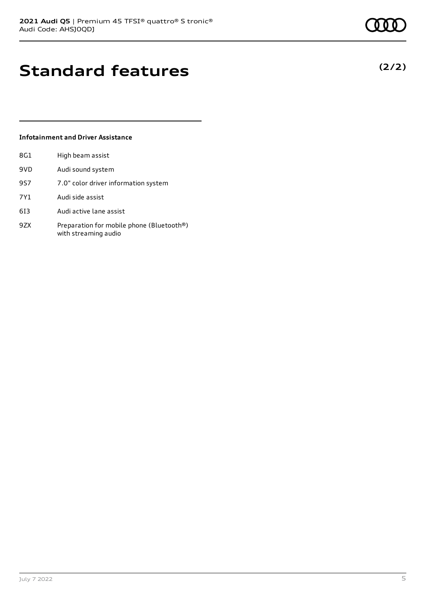### **Standard features**

#### **Infotainment and Driver Assistance**

| 8G1 | High beam assist                                                  |
|-----|-------------------------------------------------------------------|
| 9VD | Audi sound system                                                 |
| 9S7 | 7.0" color driver information system                              |
| 7Y1 | Audi side assist                                                  |
| 613 | Audi active lane assist                                           |
| 9ZX | Preparation for mobile phone (Bluetooth®)<br>with streaming audio |



**(2/2)**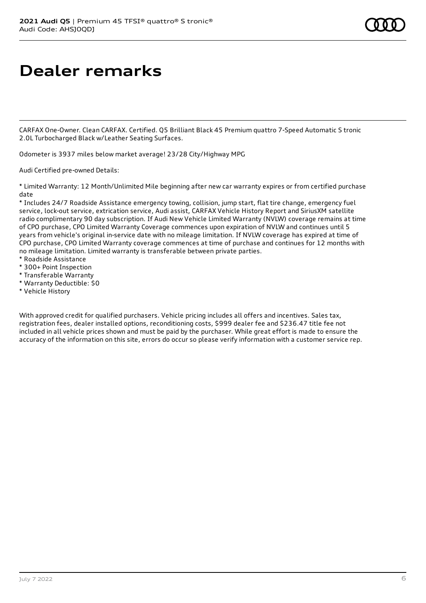### **Dealer remarks**

CARFAX One-Owner. Clean CARFAX. Certified. Q5 Brilliant Black 45 Premium quattro 7-Speed Automatic S tronic 2.0L Turbocharged Black w/Leather Seating Surfaces.

Odometer is 3937 miles below market average! 23/28 City/Highway MPG

Audi Certified pre-owned Details:

\* Limited Warranty: 12 Month/Unlimited Mile beginning after new car warranty expires or from certified purchase date

\* Includes 24/7 Roadside Assistance emergency towing, collision, jump start, flat tire change, emergency fuel service, lock-out service, extrication service, Audi assist, CARFAX Vehicle History Report and SiriusXM satellite radio complimentary 90 day subscription. If Audi New Vehicle Limited Warranty (NVLW) coverage remains at time of CPO purchase, CPO Limited Warranty Coverage commences upon expiration of NVLW and continues until 5 years from vehicle's original in-service date with no mileage limitation. If NVLW coverage has expired at time of CPO purchase, CPO Limited Warranty coverage commences at time of purchase and continues for 12 months with no mileage limitation. Limited warranty is transferable between private parties.

- \* Roadside Assistance
- \* 300+ Point Inspection
- \* Transferable Warranty
- \* Warranty Deductible: \$0
- \* Vehicle History

With approved credit for qualified purchasers. Vehicle pricing includes all offers and incentives. Sales tax, registration fees, dealer installed options, reconditioning costs, \$999 dealer fee and \$236.47 title fee not included in all vehicle prices shown and must be paid by the purchaser. While great effort is made to ensure the accuracy of the information on this site, errors do occur so please verify information with a customer service rep.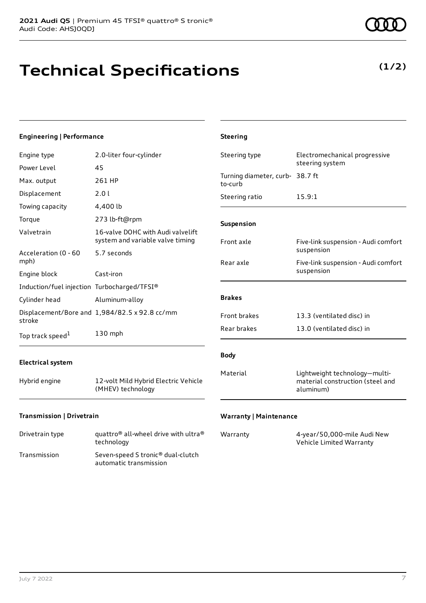## **Technical Specifications**

**(1/2)**

| <b>Engineering   Performance</b>            |                                                                                      | <b>Steering</b>                            |                                                                                |
|---------------------------------------------|--------------------------------------------------------------------------------------|--------------------------------------------|--------------------------------------------------------------------------------|
| Engine type                                 | 2.0-liter four-cylinder                                                              | Steering type                              | Electromechanical progressive<br>steering system                               |
| Power Level<br>Max. output                  | 45<br>261 HP                                                                         | Turning diameter, curb- 38.7 ft<br>to-curb |                                                                                |
| Displacement                                | 2.0 l<br>4,400 lb                                                                    | Steering ratio                             | 15.9:1                                                                         |
| Towing capacity<br>Torque                   | 273 lb-ft@rpm                                                                        | Suspension                                 |                                                                                |
| Valvetrain<br>Acceleration (0 - 60          | 16-valve DOHC with Audi valvelift<br>system and variable valve timing<br>5.7 seconds | Front axle                                 | Five-link suspension - Audi comfort<br>suspension                              |
| mph)<br>Engine block                        | Cast-iron                                                                            | Rear axle                                  | Five-link suspension - Audi comfort<br>suspension                              |
| Induction/fuel injection Turbocharged/TFSI® |                                                                                      |                                            |                                                                                |
| Cylinder head                               | Aluminum-alloy                                                                       | <b>Brakes</b>                              |                                                                                |
| stroke                                      | Displacement/Bore and 1,984/82.5 x 92.8 cc/mm                                        | Front brakes                               | 13.3 (ventilated disc) in                                                      |
| Top track speed <sup>1</sup>                | 130 mph                                                                              | Rear brakes                                | 13.0 (ventilated disc) in                                                      |
| <b>Electrical system</b>                    |                                                                                      | <b>Body</b>                                |                                                                                |
| Hybrid engine                               | 12-volt Mild Hybrid Electric Vehicle<br>(MHEV) technology                            | Material                                   | Lightweight technology-multi-<br>material construction (steel and<br>aluminum) |
| Transmission   Drivetrain                   |                                                                                      | <b>Warranty   Maintenance</b>              |                                                                                |

| Drivetrain type | quattro <sup>®</sup> all-wheel drive with ultra <sup>®</sup><br>technology |
|-----------------|----------------------------------------------------------------------------|
| Transmission    | Seven-speed S tronic <sup>®</sup> dual-clutch<br>automatic transmission    |

| Warranty | 4-year/50,000-mile Audi New |
|----------|-----------------------------|
|          | Vehicle Limited Warranty    |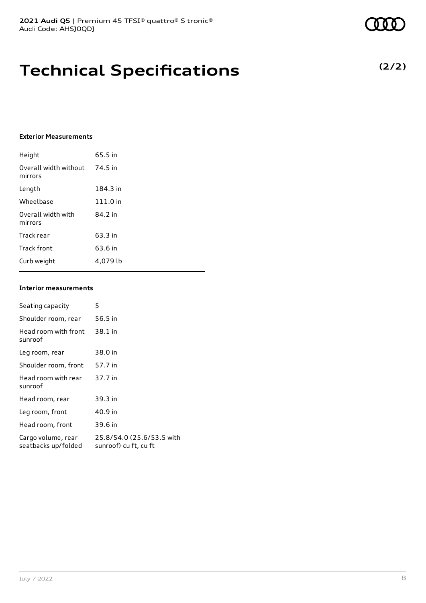### **Technical Specifications**

#### **Exterior Measurements**

| Height                           | 65.5 in  |
|----------------------------------|----------|
| Overall width without<br>mirrors | 74.5 in  |
| Length                           | 184.3 in |
| Wheelbase                        | 111.0 in |
| Overall width with<br>mirrors    | 84.2 in  |
| Track rear                       | 63.3 in  |
| Track front                      | 63.6 in  |
| Curb weight                      | 4.079 lb |

#### **Interior measurements**

| Seating capacity                          | 5                                                  |
|-------------------------------------------|----------------------------------------------------|
| Shoulder room, rear                       | 56.5 in                                            |
| Head room with front<br>sunroof           | 38.1 in                                            |
| Leg room, rear                            | 38.0 in                                            |
| Shoulder room, front                      | 57.7 in                                            |
| Head room with rear<br>sunroof            | 37.7 in                                            |
| Head room, rear                           | 39.3 in                                            |
| Leg room, front                           | 40.9 in                                            |
| Head room, front                          | 39.6 in                                            |
| Cargo volume, rear<br>seatbacks up/folded | 25.8/54.0 (25.6/53.5 with<br>sunroof) cu ft, cu ft |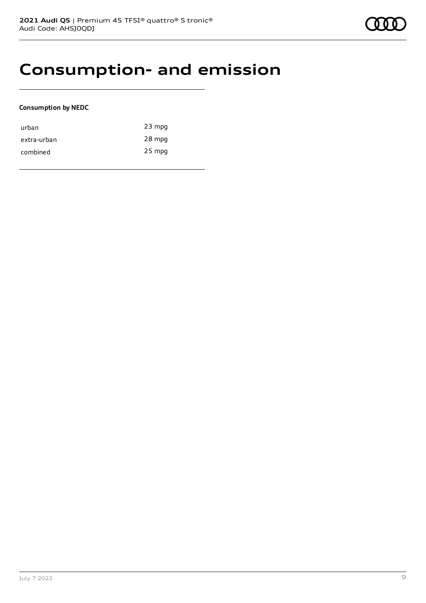### **Consumption- and emission**

#### **Consumption by NEDC**

| urban       | $23$ mpg |
|-------------|----------|
| extra-urban | 28 mpg   |
| combined    | 25 mpg   |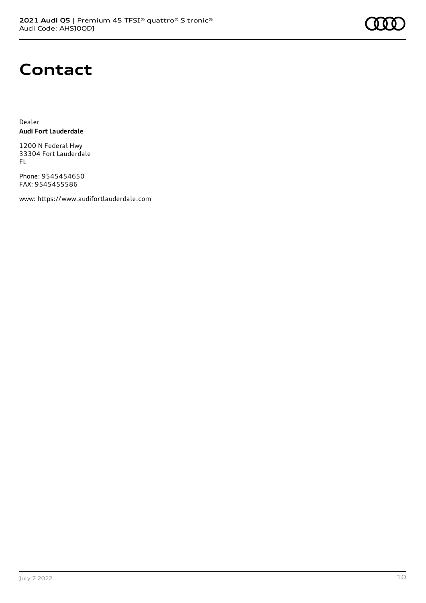

### **Contact**

Dealer **Audi Fort Lauderdale**

1200 N Federal Hwy 33304 Fort Lauderdale FL

Phone: 9545454650 FAX: 9545455586

www: [https://www.audifortlauderdale.com](https://www.audifortlauderdale.com/)